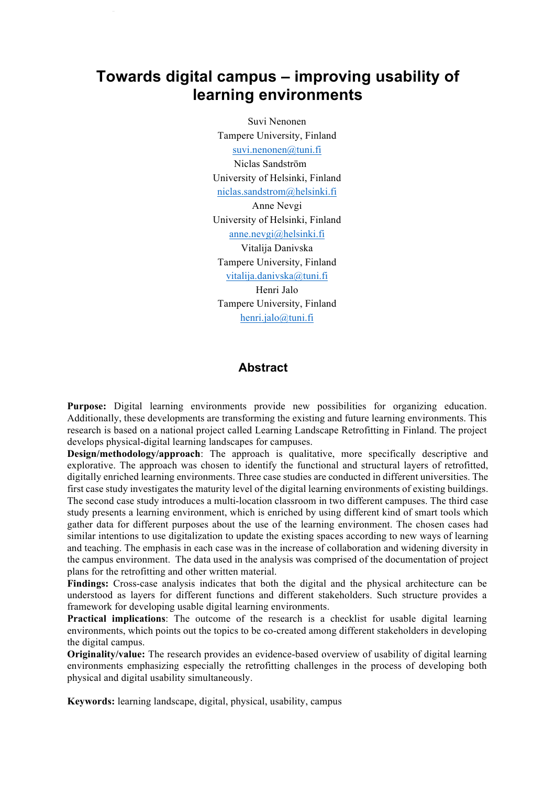# **Towards digital campus – improving usability of learning environments**

Suvi Nenonen Tampere University, Finland suvi.nenonen@tuni.fi Niclas Sandström University of Helsinki, Finland niclas.sandstrom@helsinki.fi Anne Nevgi University of Helsinki, Finland anne.nevgi@helsinki.fi Vitalija Danivska Tampere University, Finland vitalija.danivska@tuni.fi Henri Jalo Tampere University, Finland henri.jalo@tuni.fi

### **Abstract**

**Purpose:** Digital learning environments provide new possibilities for organizing education. Additionally, these developments are transforming the existing and future learning environments. This research is based on a national project called Learning Landscape Retrofitting in Finland. The project develops physical-digital learning landscapes for campuses.

**Design/methodology/approach**: The approach is qualitative, more specifically descriptive and explorative. The approach was chosen to identify the functional and structural layers of retrofitted, digitally enriched learning environments. Three case studies are conducted in different universities. The first case study investigates the maturity level of the digital learning environments of existing buildings. The second case study introduces a multi-location classroom in two different campuses. The third case study presents a learning environment, which is enriched by using different kind of smart tools which gather data for different purposes about the use of the learning environment. The chosen cases had similar intentions to use digitalization to update the existing spaces according to new ways of learning and teaching. The emphasis in each case was in the increase of collaboration and widening diversity in the campus environment. The data used in the analysis was comprised of the documentation of project plans for the retrofitting and other written material.

**Findings:** Cross-case analysis indicates that both the digital and the physical architecture can be understood as layers for different functions and different stakeholders. Such structure provides a framework for developing usable digital learning environments.

**Practical implications**: The outcome of the research is a checklist for usable digital learning environments, which points out the topics to be co-created among different stakeholders in developing the digital campus.

**Originality/value:** The research provides an evidence-based overview of usability of digital learning environments emphasizing especially the retrofitting challenges in the process of developing both physical and digital usability simultaneously.

**Keywords:** learning landscape, digital, physical, usability, campus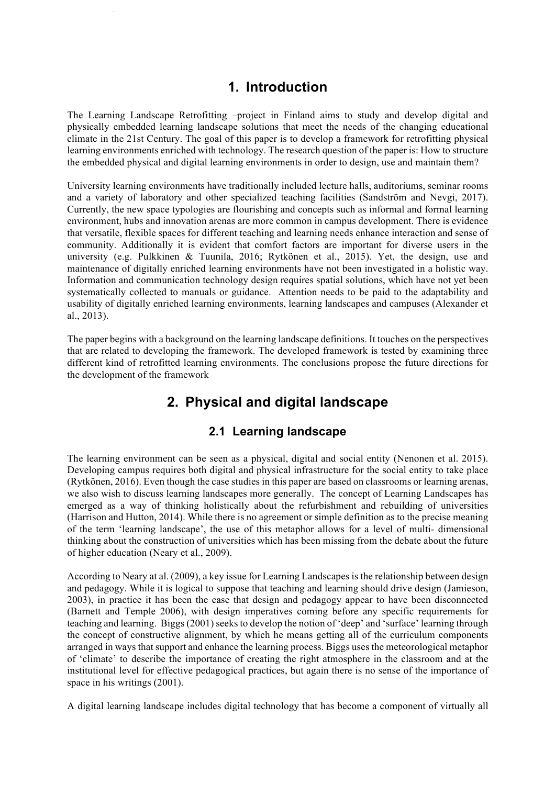## **1. Introduction**

The Learning Landscape Retrofitting –project in Finland aims to study and develop digital and physically embedded learning landscape solutions that meet the needs of the changing educational climate in the 21st Century. The goal of this paper is to develop a framework for retrofitting physical learning environments enriched with technology. The research question of the paper is: How to structure the embedded physical and digital learning environments in order to design, use and maintain them?

University learning environments have traditionally included lecture halls, auditoriums, seminar rooms and a variety of laboratory and other specialized teaching facilities (Sandström and Nevgi, 2017). Currently, the new space typologies are flourishing and concepts such as informal and formal learning environment, hubs and innovation arenas are more common in campus development. There is evidence that versatile, flexible spaces for different teaching and learning needs enhance interaction and sense of community. Additionally it is evident that comfort factors are important for diverse users in the university (e.g. Pulkkinen & Tuunila, 2016; Rytkönen et al., 2015). Yet, the design, use and maintenance of digitally enriched learning environments have not been investigated in a holistic way. Information and communication technology design requires spatial solutions, which have not yet been systematically collected to manuals or guidance. Attention needs to be paid to the adaptability and usability of digitally enriched learning environments, learning landscapes and campuses (Alexander et al., 2013).

The paper begins with a background on the learning landscape definitions. It touches on the perspectives that are related to developing the framework. The developed framework is tested by examining three different kind of retrofitted learning environments. The conclusions propose the future directions for the development of the framework

# **2. Physical and digital landscape**

## **2.1 Learning landscape**

The learning environment can be seen as a physical, digital and social entity (Nenonen et al. 2015). Developing campus requires both digital and physical infrastructure for the social entity to take place (Rytkönen, 2016). Even though the case studies in this paper are based on classrooms or learning arenas, we also wish to discuss learning landscapes more generally. The concept of Learning Landscapes has emerged as a way of thinking holistically about the refurbishment and rebuilding of universities (Harrison and Hutton, 2014). While there is no agreement or simple definition as to the precise meaning of the term 'learning landscape', the use of this metaphor allows for a level of multi- dimensional thinking about the construction of universities which has been missing from the debate about the future of higher education (Neary et al., 2009).

According to Neary at al. (2009), a key issue for Learning Landscapes is the relationship between design and pedagogy. While it is logical to suppose that teaching and learning should drive design (Jamieson, 2003), in practice it has been the case that design and pedagogy appear to have been disconnected (Barnett and Temple 2006), with design imperatives coming before any specific requirements for teaching and learning. Biggs (2001) seeks to develop the notion of 'deep' and 'surface' learning through the concept of constructive alignment, by which he means getting all of the curriculum components arranged in ways that support and enhance the learning process. Biggs uses the meteorological metaphor of 'climate' to describe the importance of creating the right atmosphere in the classroom and at the institutional level for effective pedagogical practices, but again there is no sense of the importance of space in his writings (2001).

A digital learning landscape includes digital technology that has become a component of virtually all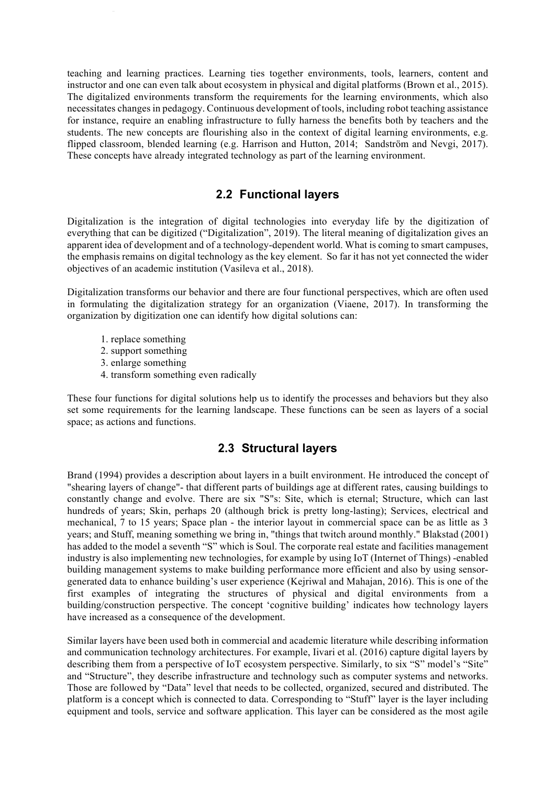teaching and learning practices. Learning ties together environments, tools, learners, content and instructor and one can even talk about ecosystem in physical and digital platforms (Brown et al., 2015). The digitalized environments transform the requirements for the learning environments, which also necessitates changes in pedagogy. Continuous development of tools, including robot teaching assistance for instance, require an enabling infrastructure to fully harness the benefits both by teachers and the students. The new concepts are flourishing also in the context of digital learning environments, e.g. flipped classroom, blended learning (e.g. Harrison and Hutton, 2014; Sandström and Nevgi, 2017). These concepts have already integrated technology as part of the learning environment.

### **2.2 Functional layers**

Digitalization is the integration of digital technologies into everyday life by the digitization of everything that can be digitized ("Digitalization", 2019). The literal meaning of digitalization gives an apparent idea of development and of a technology-dependent world. What is coming to smart campuses, the emphasis remains on digital technology as the key element. So far it has not yet connected the wider objectives of an academic institution (Vasileva et al., 2018).

Digitalization transforms our behavior and there are four functional perspectives, which are often used in formulating the digitalization strategy for an organization (Viaene, 2017). In transforming the organization by digitization one can identify how digital solutions can:

- 1. replace something
- 2. support something
- 3. enlarge something
- 4. transform something even radically

These four functions for digital solutions help us to identify the processes and behaviors but they also set some requirements for the learning landscape. These functions can be seen as layers of a social space; as actions and functions.

## **2.3 Structural layers**

Brand (1994) provides a description about layers in a built environment. He introduced the concept of "shearing layers of change"- that different parts of buildings age at different rates, causing buildings to constantly change and evolve. There are six "S"s: Site, which is eternal; Structure, which can last hundreds of years; Skin, perhaps 20 (although brick is pretty long-lasting); Services, electrical and mechanical, 7 to 15 years; Space plan - the interior layout in commercial space can be as little as 3 years; and Stuff, meaning something we bring in, "things that twitch around monthly." Blakstad (2001) has added to the model a seventh "S" which is Soul. The corporate real estate and facilities management industry is also implementing new technologies, for example by using IoT (Internet of Things) -enabled building management systems to make building performance more efficient and also by using sensorgenerated data to enhance building's user experience (Kejriwal and Mahajan, 2016). This is one of the first examples of integrating the structures of physical and digital environments from a building/construction perspective. The concept 'cognitive building' indicates how technology layers have increased as a consequence of the development.

Similar layers have been used both in commercial and academic literature while describing information and communication technology architectures. For example, Iivari et al. (2016) capture digital layers by describing them from a perspective of IoT ecosystem perspective. Similarly, to six "S" model's "Site" and "Structure", they describe infrastructure and technology such as computer systems and networks. Those are followed by "Data" level that needs to be collected, organized, secured and distributed. The platform is a concept which is connected to data. Corresponding to "Stuff" layer is the layer including equipment and tools, service and software application. This layer can be considered as the most agile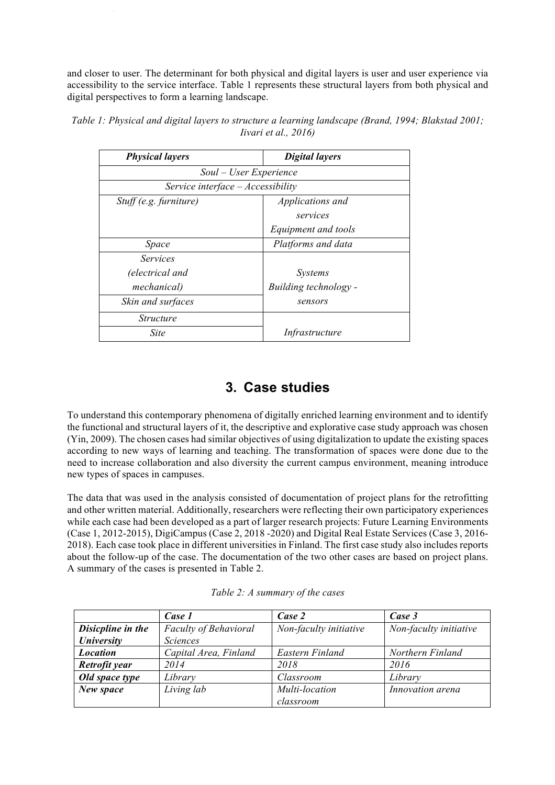and closer to user. The determinant for both physical and digital layers is user and user experience via accessibility to the service interface. Table 1 represents these structural layers from both physical and digital perspectives to form a learning landscape.

| <b>Physical layers</b>              | <b>Digital layers</b> |  |  |
|-------------------------------------|-----------------------|--|--|
| Soul – User Experience              |                       |  |  |
| Service interface $-$ Accessibility |                       |  |  |
| $Stuff(e.g.$ furniture)             | Applications and      |  |  |
|                                     | services              |  |  |
|                                     | Equipment and tools   |  |  |
| Space                               | Platforms and data    |  |  |
| <i>Services</i>                     |                       |  |  |
| (electrical and                     | <i>Systems</i>        |  |  |
| mechanical)                         | Building technology - |  |  |
| Skin and surfaces                   | sensors               |  |  |
| <i>Structure</i>                    |                       |  |  |
| <b>Site</b>                         | Infrastructure        |  |  |

*Table 1: Physical and digital layers to structure a learning landscape (Brand, 1994; Blakstad 2001; Iivari et al., 2016)*

# **3. Case studies**

To understand this contemporary phenomena of digitally enriched learning environment and to identify the functional and structural layers of it, the descriptive and explorative case study approach was chosen (Yin, 2009). The chosen cases had similar objectives of using digitalization to update the existing spaces according to new ways of learning and teaching. The transformation of spaces were done due to the need to increase collaboration and also diversity the current campus environment, meaning introduce new types of spaces in campuses.

The data that was used in the analysis consisted of documentation of project plans for the retrofitting and other written material. Additionally, researchers were reflecting their own participatory experiences while each case had been developed as a part of larger research projects: Future Learning Environments (Case 1, 2012-2015), DigiCampus (Case 2, 2018 -2020) and Digital Real Estate Services (Case 3, 2016- 2018). Each case took place in different universities in Finland. The first case study also includes reports about the follow-up of the case. The documentation of the two other cases are based on project plans. A summary of the cases is presented in Table 2.

|                   | Case 1                       | Case 2                 | Case 3                 |
|-------------------|------------------------------|------------------------|------------------------|
| Disicpline in the | <b>Faculty of Behavioral</b> | Non-faculty initiative | Non-faculty initiative |
| University        | <i>Sciences</i>              |                        |                        |
| <b>Location</b>   | Capital Area, Finland        | Eastern Finland        | Northern Finland       |
| Retrofit year     | 2014                         | 2018                   | 2016                   |
| Old space type    | Library                      | Classroom              | Library                |
| New space         | Living lab                   | Multi-location         | Innovation arena       |
|                   |                              | classroom              |                        |

| Table 2: A summary of the cases |  |
|---------------------------------|--|
|---------------------------------|--|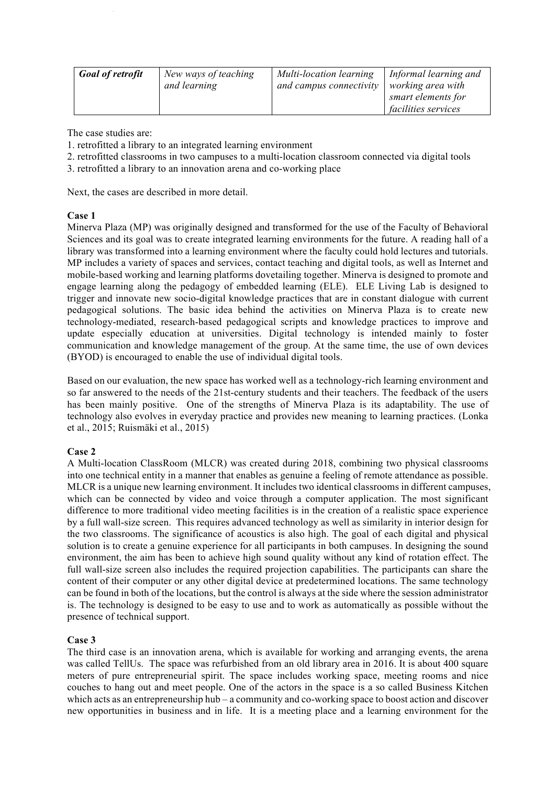| <b>Goal of retrofit</b> | New ways of teaching | Multi-location learning | Informal learning and      |
|-------------------------|----------------------|-------------------------|----------------------------|
|                         | and learning         | and campus connectivity | working area with          |
|                         |                      |                         | smart elements for         |
|                         |                      |                         | <i>facilities services</i> |

The case studies are:

- 1. retrofitted a library to an integrated learning environment
- 2. retrofitted classrooms in two campuses to a multi-location classroom connected via digital tools
- 3. retrofitted a library to an innovation arena and co-working place

Next, the cases are described in more detail.

#### **Case 1**

Minerva Plaza (MP) was originally designed and transformed for the use of the Faculty of Behavioral Sciences and its goal was to create integrated learning environments for the future. A reading hall of a library was transformed into a learning environment where the faculty could hold lectures and tutorials. MP includes a variety of spaces and services, contact teaching and digital tools, as well as Internet and mobile-based working and learning platforms dovetailing together. Minerva is designed to promote and engage learning along the pedagogy of embedded learning (ELE). ELE Living Lab is designed to trigger and innovate new socio-digital knowledge practices that are in constant dialogue with current pedagogical solutions. The basic idea behind the activities on Minerva Plaza is to create new technology-mediated, research-based pedagogical scripts and knowledge practices to improve and update especially education at universities. Digital technology is intended mainly to foster communication and knowledge management of the group. At the same time, the use of own devices (BYOD) is encouraged to enable the use of individual digital tools.

Based on our evaluation, the new space has worked well as a technology-rich learning environment and so far answered to the needs of the 21st-century students and their teachers. The feedback of the users has been mainly positive. One of the strengths of Minerva Plaza is its adaptability. The use of technology also evolves in everyday practice and provides new meaning to learning practices. (Lonka et al., 2015; Ruismäki et al., 2015)

#### **Case 2**

A Multi-location ClassRoom (MLCR) was created during 2018, combining two physical classrooms into one technical entity in a manner that enables as genuine a feeling of remote attendance as possible. MLCR is a unique new learning environment. It includes two identical classrooms in different campuses, which can be connected by video and voice through a computer application. The most significant difference to more traditional video meeting facilities is in the creation of a realistic space experience by a full wall-size screen. This requires advanced technology as well as similarity in interior design for the two classrooms. The significance of acoustics is also high. The goal of each digital and physical solution is to create a genuine experience for all participants in both campuses. In designing the sound environment, the aim has been to achieve high sound quality without any kind of rotation effect. The full wall-size screen also includes the required projection capabilities. The participants can share the content of their computer or any other digital device at predetermined locations. The same technology can be found in both of the locations, but the control is always at the side where the session administrator is. The technology is designed to be easy to use and to work as automatically as possible without the presence of technical support.

#### **Case 3**

The third case is an innovation arena, which is available for working and arranging events, the arena was called TellUs. The space was refurbished from an old library area in 2016. It is about 400 square meters of pure entrepreneurial spirit. The space includes working space, meeting rooms and nice couches to hang out and meet people. One of the actors in the space is a so called Business Kitchen which acts as an entrepreneurship hub – a community and co-working space to boost action and discover new opportunities in business and in life. It is a meeting place and a learning environment for the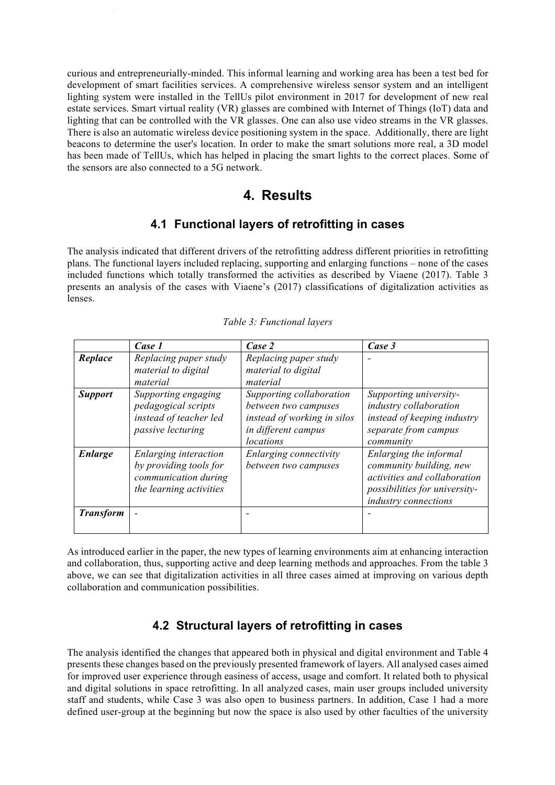curious and entrepreneurially-minded. This informal learning and working area has been a test bed for development of smart facilities services. A comprehensive wireless sensor system and an intelligent lighting system were installed in the TellUs pilot environment in 2017 for development of new real estate services. Smart virtual reality (VR) glasses are combined with Internet of Things (IoT) data and lighting that can be controlled with the VR glasses. One can also use video streams in the VR glasses. There is also an automatic wireless device positioning system in the space. Additionally, there are light beacons to determine the user's location. In order to make the smart solutions more real, a 3D model has been made of TellUs, which has helped in placing the smart lights to the correct places. Some of the sensors are also connected to a 5G network.

## **4. Results**

### **4.1 Functional layers of retrofitting in cases**

The analysis indicated that different drivers of the retrofitting address different priorities in retrofitting plans. The functional layers included replacing, supporting and enlarging functions – none of the cases included functions which totally transformed the activities as described by Viaene (2017). Table 3 presents an analysis of the cases with Viaene's (2017) classifications of digitalization activities as lenses.

|                  | Case 1                                                                                             | Case 2                                                                                                              | Case 3                                                                                                                                     |
|------------------|----------------------------------------------------------------------------------------------------|---------------------------------------------------------------------------------------------------------------------|--------------------------------------------------------------------------------------------------------------------------------------------|
| Replace          | Replacing paper study<br>material to digital<br>material                                           | Replacing paper study<br>material to digital<br>material                                                            |                                                                                                                                            |
| <b>Support</b>   | Supporting engaging<br>pedagogical scripts<br>instead of teacher led<br>passive lecturing          | Supporting collaboration<br>between two campuses<br>instead of working in silos<br>in different campus<br>locations | Supporting university-<br>industry collaboration<br>instead of keeping industry<br>separate from campus<br>community                       |
| <b>Enlarge</b>   | Enlarging interaction<br>by providing tools for<br>communication during<br>the learning activities | Enlarging connectivity<br>between two campuses                                                                      | Enlarging the informal<br>community building, new<br>activities and collaboration<br>possibilities for university-<br>industry connections |
| <b>Transform</b> |                                                                                                    |                                                                                                                     |                                                                                                                                            |

#### *Table 3: Functional layers*

As introduced earlier in the paper, the new types of learning environments aim at enhancing interaction and collaboration, thus, supporting active and deep learning methods and approaches. From the table 3 above, we can see that digitalization activities in all three cases aimed at improving on various depth collaboration and communication possibilities.

## **4.2 Structural layers of retrofitting in cases**

The analysis identified the changes that appeared both in physical and digital environment and Table 4 presents these changes based on the previously presented framework of layers. All analysed cases aimed for improved user experience through easiness of access, usage and comfort. It related both to physical and digital solutions in space retrofitting. In all analyzed cases, main user groups included university staff and students, while Case 3 was also open to business partners. In addition, Case 1 had a more defined user-group at the beginning but now the space is also used by other faculties of the university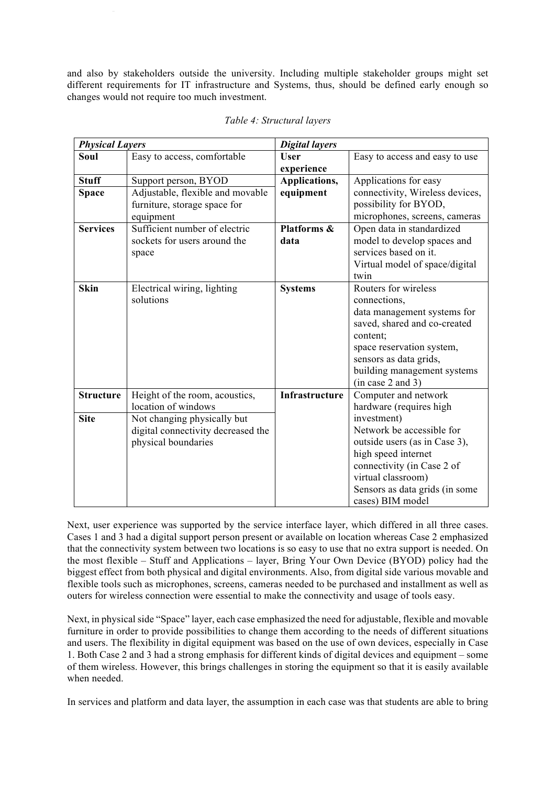and also by stakeholders outside the university. Including multiple stakeholder groups might set different requirements for IT infrastructure and Systems, thus, should be defined early enough so changes would not require too much investment.

| <b>Physical Layers</b> |                                    | <b>Digital layers</b> |                                 |
|------------------------|------------------------------------|-----------------------|---------------------------------|
| Soul                   | Easy to access, comfortable        | <b>User</b>           | Easy to access and easy to use  |
|                        |                                    | experience            |                                 |
| <b>Stuff</b>           | Support person, BYOD               | Applications,         | Applications for easy           |
| <b>Space</b>           | Adjustable, flexible and movable   | equipment             | connectivity, Wireless devices, |
|                        | furniture, storage space for       |                       | possibility for BYOD,           |
|                        | equipment                          |                       | microphones, screens, cameras   |
| <b>Services</b>        | Sufficient number of electric      | Platforms &           | Open data in standardized       |
|                        | sockets for users around the       | data                  | model to develop spaces and     |
|                        | space                              |                       | services based on it.           |
|                        |                                    |                       | Virtual model of space/digital  |
|                        |                                    |                       | twin                            |
| <b>Skin</b>            | Electrical wiring, lighting        | <b>Systems</b>        | Routers for wireless            |
|                        | solutions                          |                       | connections,                    |
|                        |                                    |                       | data management systems for     |
|                        |                                    |                       | saved, shared and co-created    |
|                        |                                    |                       | content;                        |
|                        |                                    |                       | space reservation system,       |
|                        |                                    |                       | sensors as data grids,          |
|                        |                                    |                       | building management systems     |
|                        |                                    |                       | (in case 2 and 3)               |
| <b>Structure</b>       | Height of the room, acoustics,     | Infrastructure        | Computer and network            |
|                        | location of windows                |                       | hardware (requires high         |
| <b>Site</b>            | Not changing physically but        |                       | investment)                     |
|                        | digital connectivity decreased the |                       | Network be accessible for       |
|                        | physical boundaries                |                       | outside users (as in Case 3),   |
|                        |                                    |                       | high speed internet             |
|                        |                                    |                       | connectivity (in Case 2 of      |
|                        |                                    |                       | virtual classroom)              |
|                        |                                    |                       | Sensors as data grids (in some  |
|                        |                                    |                       | cases) BIM model                |

Next, user experience was supported by the service interface layer, which differed in all three cases. Cases 1 and 3 had a digital support person present or available on location whereas Case 2 emphasized that the connectivity system between two locations is so easy to use that no extra support is needed. On the most flexible – Stuff and Applications – layer, Bring Your Own Device (BYOD) policy had the biggest effect from both physical and digital environments. Also, from digital side various movable and flexible tools such as microphones, screens, cameras needed to be purchased and installment as well as outers for wireless connection were essential to make the connectivity and usage of tools easy.

Next, in physical side "Space" layer, each case emphasized the need for adjustable, flexible and movable furniture in order to provide possibilities to change them according to the needs of different situations and users. The flexibility in digital equipment was based on the use of own devices, especially in Case 1. Both Case 2 and 3 had a strong emphasis for different kinds of digital devices and equipment – some of them wireless. However, this brings challenges in storing the equipment so that it is easily available when needed.

In services and platform and data layer, the assumption in each case was that students are able to bring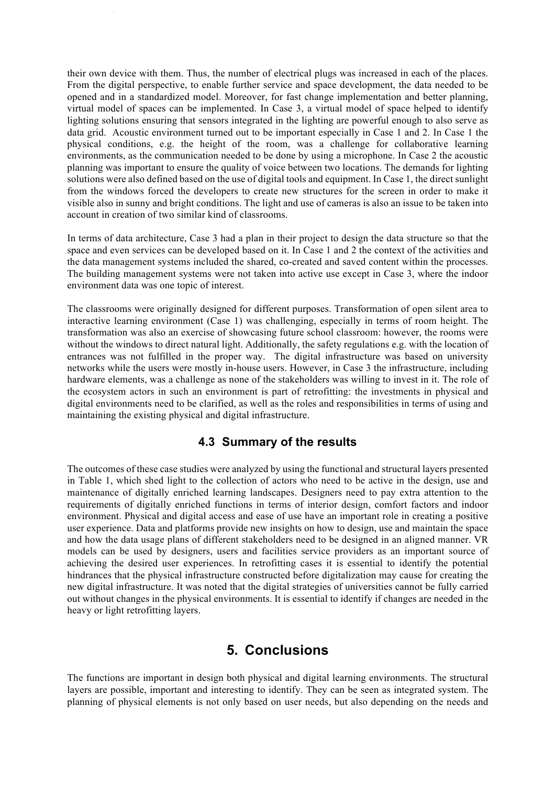their own device with them. Thus, the number of electrical plugs was increased in each of the places. From the digital perspective, to enable further service and space development, the data needed to be opened and in a standardized model. Moreover, for fast change implementation and better planning, virtual model of spaces can be implemented. In Case 3, a virtual model of space helped to identify lighting solutions ensuring that sensors integrated in the lighting are powerful enough to also serve as data grid. Acoustic environment turned out to be important especially in Case 1 and 2. In Case 1 the physical conditions, e.g. the height of the room, was a challenge for collaborative learning environments, as the communication needed to be done by using a microphone. In Case 2 the acoustic planning was important to ensure the quality of voice between two locations. The demands for lighting solutions were also defined based on the use of digital tools and equipment. In Case 1, the direct sunlight from the windows forced the developers to create new structures for the screen in order to make it visible also in sunny and bright conditions. The light and use of cameras is also an issue to be taken into account in creation of two similar kind of classrooms.

In terms of data architecture, Case 3 had a plan in their project to design the data structure so that the space and even services can be developed based on it. In Case 1 and 2 the context of the activities and the data management systems included the shared, co-created and saved content within the processes. The building management systems were not taken into active use except in Case 3, where the indoor environment data was one topic of interest.

The classrooms were originally designed for different purposes. Transformation of open silent area to interactive learning environment (Case 1) was challenging, especially in terms of room height. The transformation was also an exercise of showcasing future school classroom: however, the rooms were without the windows to direct natural light. Additionally, the safety regulations e.g. with the location of entrances was not fulfilled in the proper way. The digital infrastructure was based on university networks while the users were mostly in-house users. However, in Case 3 the infrastructure, including hardware elements, was a challenge as none of the stakeholders was willing to invest in it. The role of the ecosystem actors in such an environment is part of retrofitting: the investments in physical and digital environments need to be clarified, as well as the roles and responsibilities in terms of using and maintaining the existing physical and digital infrastructure.

### **4.3 Summary of the results**

The outcomes of these case studies were analyzed by using the functional and structural layers presented in Table 1, which shed light to the collection of actors who need to be active in the design, use and maintenance of digitally enriched learning landscapes. Designers need to pay extra attention to the requirements of digitally enriched functions in terms of interior design, comfort factors and indoor environment. Physical and digital access and ease of use have an important role in creating a positive user experience. Data and platforms provide new insights on how to design, use and maintain the space and how the data usage plans of different stakeholders need to be designed in an aligned manner. VR models can be used by designers, users and facilities service providers as an important source of achieving the desired user experiences. In retrofitting cases it is essential to identify the potential hindrances that the physical infrastructure constructed before digitalization may cause for creating the new digital infrastructure. It was noted that the digital strategies of universities cannot be fully carried out without changes in the physical environments. It is essential to identify if changes are needed in the heavy or light retrofitting layers.

## **5. Conclusions**

The functions are important in design both physical and digital learning environments. The structural layers are possible, important and interesting to identify. They can be seen as integrated system. The planning of physical elements is not only based on user needs, but also depending on the needs and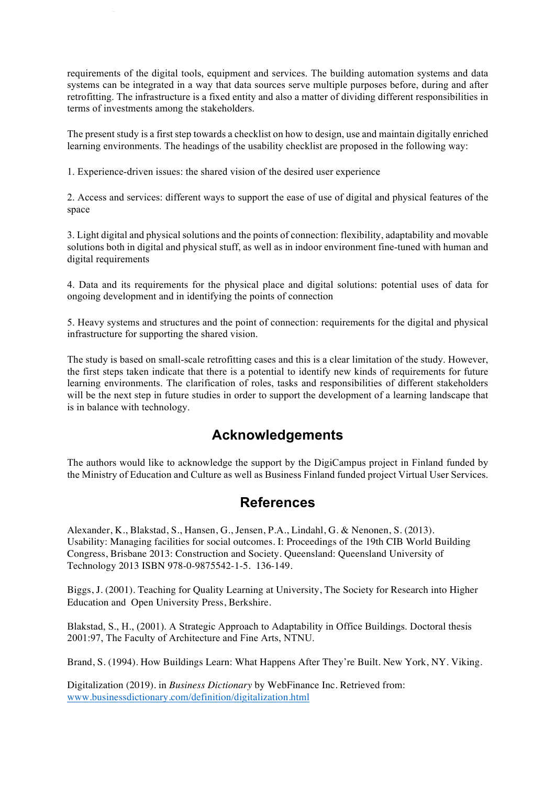requirements of the digital tools, equipment and services. The building automation systems and data systems can be integrated in a way that data sources serve multiple purposes before, during and after retrofitting. The infrastructure is a fixed entity and also a matter of dividing different responsibilities in terms of investments among the stakeholders.

The present study is a first step towards a checklist on how to design, use and maintain digitally enriched learning environments. The headings of the usability checklist are proposed in the following way:

1. Experience-driven issues: the shared vision of the desired user experience

2. Access and services: different ways to support the ease of use of digital and physical features of the space

3. Light digital and physical solutions and the points of connection: flexibility, adaptability and movable solutions both in digital and physical stuff, as well as in indoor environment fine-tuned with human and digital requirements

4. Data and its requirements for the physical place and digital solutions: potential uses of data for ongoing development and in identifying the points of connection

5. Heavy systems and structures and the point of connection: requirements for the digital and physical infrastructure for supporting the shared vision.

The study is based on small-scale retrofitting cases and this is a clear limitation of the study. However, the first steps taken indicate that there is a potential to identify new kinds of requirements for future learning environments. The clarification of roles, tasks and responsibilities of different stakeholders will be the next step in future studies in order to support the development of a learning landscape that is in balance with technology.

# **Acknowledgements**

The authors would like to acknowledge the support by the DigiCampus project in Finland funded by the Ministry of Education and Culture as well as Business Finland funded project Virtual User Services.

## **References**

Alexander, K., Blakstad, S., Hansen, G., Jensen, P.A., Lindahl, G. & Nenonen, S. (2013). Usability: Managing facilities for social outcomes. I: Proceedings of the 19th CIB World Building Congress, Brisbane 2013: Construction and Society. Queensland: Queensland University of Technology 2013 ISBN 978-0-9875542-1-5. 136-149.

Biggs, J. (2001). Teaching for Quality Learning at University, The Society for Research into Higher Education and Open University Press, Berkshire.

Blakstad, S., H., (2001). A Strategic Approach to Adaptability in Office Buildings. Doctoral thesis 2001:97, The Faculty of Architecture and Fine Arts, NTNU.

Brand, S. (1994). How Buildings Learn: What Happens After They're Built. New York, NY. Viking.

Digitalization (2019). in *Business Dictionary* by WebFinance Inc. Retrieved from: www.businessdictionary.com/definition/digitalization.html